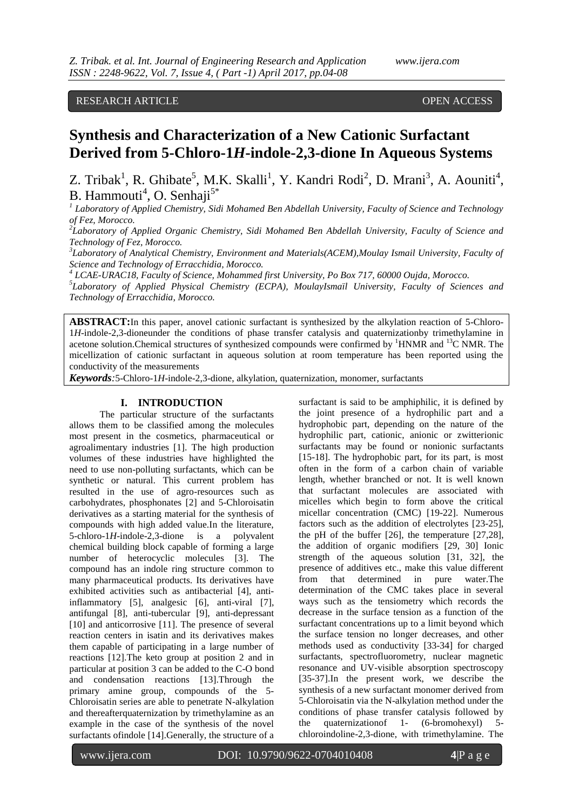RESEARCH ARTICLE OPEN ACCESS

# **Synthesis and Characterization of a New Cationic Surfactant Derived from 5-Chloro-1***H***-indole-2,3-dione In Aqueous Systems**

Z. Tribak<sup>1</sup>, R. Ghibate<sup>5</sup>, M.K. Skalli<sup>1</sup>, Y. Kandri Rodi<sup>2</sup>, D. Mrani<sup>3</sup>, A. Aouniti<sup>4</sup>, B. Hammouti<sup>4</sup>, O. Senhaji<sup>5\*</sup>

*1 Laboratory of Applied Chemistry, Sidi Mohamed Ben Abdellah University, Faculty of Science and Technology of Fez, Morocco.*

*2 Laboratory of Applied Organic Chemistry, Sidi Mohamed Ben Abdellah University, Faculty of Science and Technology of Fez, Morocco.*

*3 Laboratory of Analytical Chemistry, Environment and Materials(ACEM),Moulay Ismail University, Faculty of Science and Technology of Erracchidia, Morocco.*

*4 LCAE-URAC18, Faculty of Science, Mohammed first University, Po Box 717, 60000 Oujda, Morocco.*

*5 Laboratory of Applied Physical Chemistry (ECPA), MoulayIsmaïl University, Faculty of Sciences and Technology of Erracchidia, Morocco.*

**ABSTRACT:**In this paper, anovel cationic surfactant is synthesized by the alkylation reaction of 5-Chloro-1*H*-indole-2,3-dioneunder the conditions of phase transfer catalysis and quaternizationby trimethylamine in acetone solution. Chemical structures of synthesized compounds were confirmed by  ${}^{1}$ HNMR and  ${}^{13}$ C NMR. The micellization of cationic surfactant in aqueous solution at room temperature has been reported using the conductivity of the measurements

*Keywords:*5-Chloro-1*H*-indole-2,3-dione, alkylation, quaternization, monomer, surfactants

## **I. INTRODUCTION**

The particular structure of the surfactants allows them to be classified among the molecules most present in the cosmetics, pharmaceutical or agroalimentary industries [1]. The high production volumes of these industries have highlighted the need to use non-polluting surfactants, which can be synthetic or natural. This current problem has resulted in the use of agro-resources such as carbohydrates, phosphonates [2] and 5-Chloroisatin derivatives as a starting material for the synthesis of compounds with high added value.In the literature, 5-chloro-1*H*-indole-2,3-dione is a polyvalent chemical building block capable of forming a large number of heterocyclic molecules [3]. The compound has an indole ring structure common to many pharmaceutical products. Its derivatives have exhibited activities such as antibacterial [4], antiinflammatory [5], analgesic [6], anti-viral [7], antifungal [8], anti-tubercular [9], anti-depressant [10] and anticorrosive [11]. The presence of several reaction centers in isatin and its derivatives makes them capable of participating in a large number of reactions [12].The keto group at position 2 and in particular at position 3 can be added to the C-O bond and condensation reactions [13].Through the primary amine group, compounds of the 5- Chloroisatin series are able to penetrate N-alkylation and thereafterquaternization by trimethylamine as an example in the case of the synthesis of the novel surfactants ofindole [14].Generally, the structure of a

surfactant is said to be amphiphilic, it is defined by the joint presence of a hydrophilic part and a hydrophobic part, depending on the nature of the hydrophilic part, cationic, anionic or zwitterionic surfactants may be found or nonionic surfactants [15-18]. The hydrophobic part, for its part, is most often in the form of a carbon chain of variable length, whether branched or not. It is well known that surfactant molecules are associated with micelles which begin to form above the critical micellar concentration (CMC) [19-22]. Numerous factors such as the addition of electrolytes [23-25], the pH of the buffer [26], the temperature [27,28], the addition of organic modifiers [29, 30] Ionic strength of the aqueous solution [31, 32], the presence of additives etc., make this value different from that determined in pure water.The determination of the CMC takes place in several ways such as the tensiometry which records the decrease in the surface tension as a function of the surfactant concentrations up to a limit beyond which the surface tension no longer decreases, and other methods used as conductivity [33-34] for charged surfactants, spectrofluorometry, nuclear magnetic resonance and UV-visible absorption spectroscopy [35-37].In the present work, we describe the synthesis of a new surfactant monomer derived from 5-Chloroisatin via the N-alkylation method under the conditions of phase transfer catalysis followed by the quaternizationof 1- (6-bromohexyl) 5 chloroindoline-2,3-dione, with trimethylamine. The

www.ijera.com DOI: 10.9790/9622-0704010408 **4**|P a g e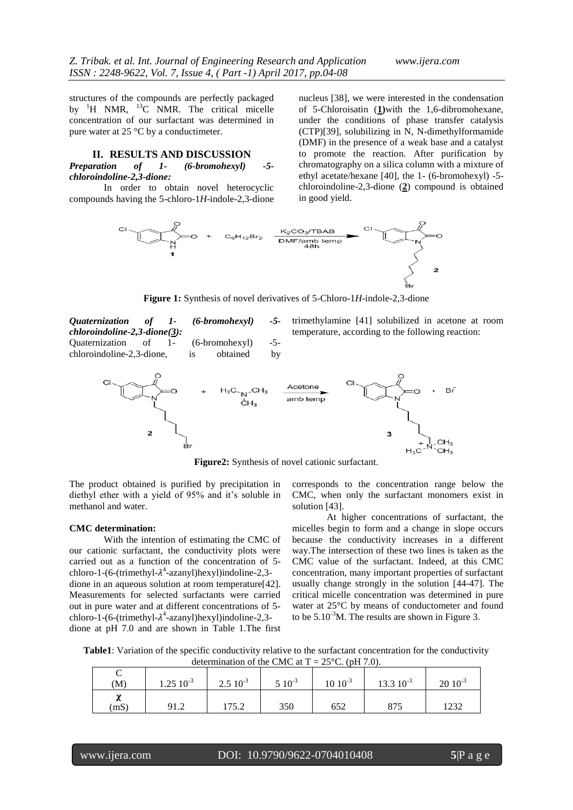structures of the compounds are perfectly packaged by  ${}^{1}H$  NMR,  ${}^{13}C$  NMR. The critical micelle concentration of our surfactant was determined in pure water at 25 °C by a conductimeter.

### **II. RESULTS AND DISCUSSION**

*Preparation of 1- (6-bromohexyl) -5 chloroindoline-2,3-dione:*

In order to obtain novel heterocyclic compounds having the 5-chloro-1*H*-indole-2,3-dione nucleus [38], we were interested in the condensation of 5-Chloroisatin (**1)**with the 1,6-dibromohexane, under the conditions of phase transfer catalysis (CTP)[39], solubilizing in N, N-dimethylformamide (DMF) in the presence of a weak base and a catalyst to promote the reaction. After purification by chromatography on a silica column with a mixture of ethyl acetate/hexane [40], the 1- (6-bromohexyl) -5 chloroindoline-2,3-dione (**2**) compound is obtained in good yield.



**Figure 1:** Synthesis of novel derivatives of 5-Chloro-1*H*-indole-2,3-dione

*Quaternization of 1- (6-bromohexyl) -5 chloroindoline-2,3-dione(3):* Quaternization of 1- (6-bromohexyl) -5 chloroindoline-2,3-dione, is obtained by

trimethylamine [41] solubilized in acetone at room temperature, according to the following reaction:



**Figure2:** Synthesis of novel cationic surfactant.

The product obtained is purified by precipitation in diethyl ether with a yield of 95% and it's soluble in methanol and water.

#### **CMC determination:**

With the intention of estimating the CMC of our cationic surfactant, the conductivity plots were carried out as a function of the concentration of 5 chloro-1-(6-(trimethyl- $\lambda^4$ -azanyl)hexyl)indoline-2,3dione in an aqueous solution at room temperature[42]. Measurements for selected surfactants were carried out in pure water and at different concentrations of 5 chloro-1-(6-(trimethyl- $\lambda^4$ -azanyl)hexyl)indoline-2,3dione at pH 7.0 and are shown in Table 1.The first corresponds to the concentration range below the CMC, when only the surfactant monomers exist in solution [43].

At higher concentrations of surfactant, the micelles begin to form and a change in slope occurs because the conductivity increases in a different way.The intersection of these two lines is taken as the CMC value of the surfactant. Indeed, at this CMC concentration, many important properties of surfactant usually change strongly in the solution [44-47]. The critical micelle concentration was determined in pure water at 25°C by means of conductometer and found to be  $5.10^{-3}$ M. The results are shown in Figure 3.

**Table1**: Variation of the specific conductivity relative to the surfactant concentration for the conductivity determination of the CMC at  $T = 25^{\circ}$ C. (pH 7.0).

| $\frac{1}{2}$ |                   |              |             |                 |                       |                 |  |
|---------------|-------------------|--------------|-------------|-----------------|-----------------------|-----------------|--|
|               |                   |              |             |                 |                       |                 |  |
| (M)           | $1.25 \; 10^{-3}$ | $2.510^{-3}$ | $5\;10^{3}$ | $10 \; 10^{-3}$ | $13.3 \times 10^{-3}$ | $20 \; 10^{-3}$ |  |
| n<br>(mS)     | 91.2              | 175.2        | 350         | 652             | 875                   | 1232            |  |
|               |                   |              |             |                 |                       |                 |  |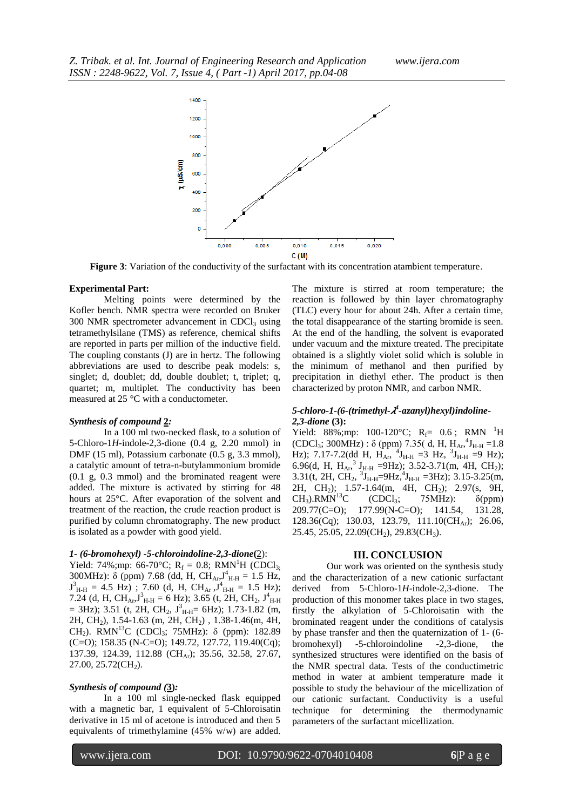

**Figure 3**: Variation of the conductivity of the surfactant with its concentration atambient temperature.

## **Experimental Part:**

Melting points were determined by the Kofler bench. NMR spectra were recorded on Bruker  $300$  NMR spectrometer advancement in CDCl<sub>3</sub> using tetramethylsilane (TMS) as reference, chemical shifts are reported in parts per million of the inductive field. The coupling constants (J) are in hertz. The following abbreviations are used to describe peak models: s, singlet; d, doublet; dd, double doublet; t, triplet; q, quartet; m, multiplet. The conductivity has been measured at 25 °C with a conductometer.

### *Synthesis of compound* **2***:*

In a 100 ml two-necked flask, to a solution of 5-Chloro-1*H*-indole-2,3-dione (0.4 g, 2.20 mmol) in DMF (15 ml), Potassium carbonate (0.5 g, 3.3 mmol), a catalytic amount of tetra-n-butylammonium bromide (0.1 g, 0.3 mmol) and the brominated reagent were added. The mixture is activated by stirring for 48 hours at 25°C. After evaporation of the solvent and treatment of the reaction, the crude reaction product is purified by column chromatography. The new product is isolated as a powder with good yield.

## *1- (6-bromohexyl) -5-chloroindoline-2,3-dione***(**2):

Yield: 74%;mp: 66-70°C;  $R_f = 0.8$ ; RMN<sup>1</sup>H (CDCl<sub>3:</sub>) 300MHz):  $\delta$  (ppm) 7.68 (dd, H, CH<sub>Ar</sub>,  $J_{\rm H\text{-}H}^4$  = 1.5 Hz,  $J_{H-H}^3 = 4.5$  Hz); 7.60 (d, H, CH<sub>Ar</sub>,  $J_{H-H}^4 = 1.5$  Hz); 7.24 (d, H, CH<sub>Ar</sub>,  $J_{H-H}^3 = 6$  Hz); 3.65 (t, 2H, CH<sub>2</sub>,  $J_{H-H}^4$  $=$  3Hz); 3.51 (t, 2H, CH<sub>2</sub>,  $J_{\text{H-H}}^3 = 6\text{Hz}$ ); 1.73-1.82 (m, 2H, CH<sub>2</sub>), 1.54-1.63 (m, 2H, CH<sub>2</sub>), 1.38-1.46(m, 4H, CH<sub>2</sub>). RMN<sup>13</sup>C (CDCl<sub>3</sub>; 75MHz): δ (ppm): 182.89 (C=O); 158.35 (N-C=O); 149.72, 127.72, 119.40(Cq); 137.39, 124.39, 112.88 (CH<sub>Ar</sub>); 35.56, 32.58, 27.67,  $27.00, 25.72$ (CH<sub>2</sub>).

#### *Synthesis of compound (***3)***:*

In a 100 ml single-necked flask equipped with a magnetic bar, 1 equivalent of 5-Chloroisatin derivative in 15 ml of acetone is introduced and then 5 equivalents of trimethylamine (45% w/w) are added.

The mixture is stirred at room temperature; the reaction is followed by thin layer chromatography (TLC) every hour for about 24h. After a certain time, the total disappearance of the starting bromide is seen. At the end of the handling, the solvent is evaporated under vacuum and the mixture treated. The precipitate obtained is a slightly violet solid which is soluble in the minimum of methanol and then purified by precipitation in diethyl ether. The product is then characterized by proton NMR, and carbon NMR.

## *5-chloro-1-(6-(trimethyl- 4 -azanyl)hexyl)indoline-2,3-dione* **(3):**

Yield: 88%;mp: 100-120°C;  $R_f = 0.6$ ; RMN <sup>1</sup>H (CDCl<sub>3</sub>; 300MHz) :  $\delta$  (ppm) 7.35( d, H, H<sub>Ar</sub>,<sup>4</sup>J<sub>H-H</sub> = 1.8 Hz); 7.17-7.2(dd H,  $H_{Ar}$ , <sup>4</sup>J<sub>H-H</sub> = 3 Hz, <sup>3</sup>J<sub>H-H</sub> = 9 Hz); 6.96(d, H,  $H_{Ar}$ ,  $J_{H-H}$  =9Hz); 3.52-3.71(m, 4H, CH<sub>2</sub>); 3.31(t, 2H, CH<sub>2</sub>,  ${}^{3}$ J<sub>H-H</sub>=9Hz, ${}^{4}$ J<sub>H-H</sub> =3Hz); 3.15-3.25(m, 2H, CH2); 1.57-1.64(m, 4H, CH2); 2.97(s, 9H,  $CH<sub>3</sub>$ ).RMN<sup>13</sup>C (CDCl<sub>3</sub>; 75MHz):  $\delta$ (ppm) 209.77(C=O); 177.99(N-C=O); 141.54, 131.28, 128.36(Cq); 130.03, 123.79, 111.10(CH<sub>Ar</sub>); 26.06, 25.45, 25.05, 22.09(CH<sub>2</sub>), 29.83(CH<sub>3</sub>).

#### **III. CONCLUSION**

Our work was oriented on the synthesis study and the characterization of a new cationic surfactant derived from 5-Chloro-1*H*-indole-2,3-dione. The production of this monomer takes place in two stages, firstly the alkylation of 5-Chloroisatin with the brominated reagent under the conditions of catalysis by phase transfer and then the quaternization of 1- (6 bromohexyl) -5-chloroindoline -2,3-dione, the synthesized structures were identified on the basis of the NMR spectral data. Tests of the conductimetric method in water at ambient temperature made it possible to study the behaviour of the micellization of our cationic surfactant. Conductivity is a useful technique for determining the thermodynamic parameters of the surfactant micellization.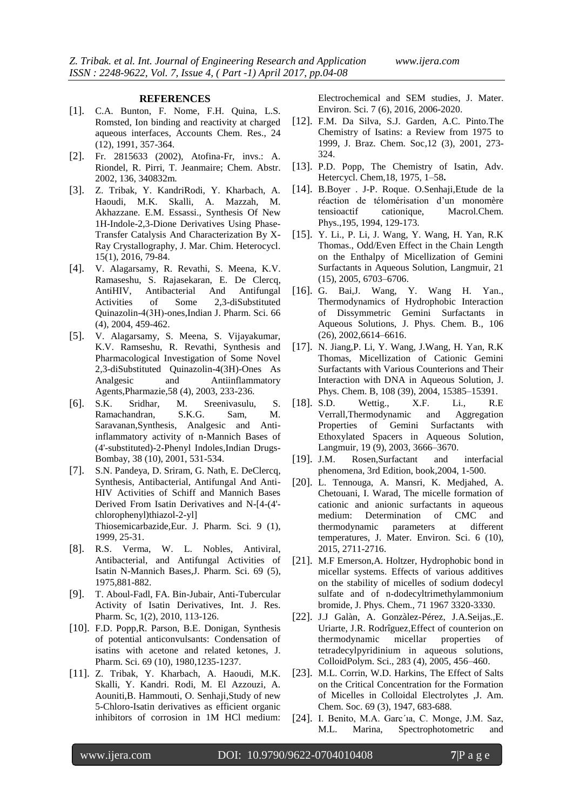#### **REFERENCES**

- [1]. [C.A. Bunton,](http://pubs.acs.org/author/Bunton%2C+Clifford+A.) [F. Nome,](http://pubs.acs.org/author/Nome%2C+Faruk) [F.H. Quina,](http://pubs.acs.org/author/Quina%2C+Frank+H.) [L.S.](http://pubs.acs.org/author/Romsted%2C+Laurence+S.)  [Romsted,](http://pubs.acs.org/author/Romsted%2C+Laurence+S.) Ion binding and reactivity at charged aqueous interfaces, Accounts Chem. Res., 24 (12), 1991, 357-364.
- [2]. Fr. 2815633 (2002), Atofina-Fr, invs.: A. Riondel, R. Pirri, T. Jeanmaire; Chem. Abstr. 2002, 136, 340832m.
- [3]. Z. Tribak, Y. KandriRodi, Y. Kharbach, A. Haoudi, M.K. Skalli, A. Mazzah, M. Akhazzane. E.M. Essassi., Synthesis Of New 1H-Indole-2,3-Dione Derivatives Using Phase-Transfer Catalysis And Characterization By X-Ray Crystallography, J. Mar. Chim. Heterocycl. 15(1), 2016, 79-84.
- [4]. V. Alagarsamy, R. Revathi, S. Meena, K.V. Ramaseshu, S. Rajasekaran, E. De Clercq, AntiHIV, Antibacterial And Antifungal Activities of Some 2,3-diSubstituted Quinazolin-4(3Η)-ones,Indian J. Pharm. Sci. 66 (4), 2004, 459-462.
- [5]. V. Alagarsamy, S. Meena, S. Vijayakumar, K.V. Ramseshu, R. Revathi, Synthesis and Pharmacological Investigation of Some Novel 2,3-diSubstituted Quinazolin-4(3H)-Ones As Analgesic and Antiinflammatory Agents,Pharmazie,58 (4), 2003, 233-236.
- [6]. S.K. Sridhar, M. Sreenivasulu, S. Ramachandran, S.K.G. Sam, M. Saravanan[,Synthesis, Analgesic and Anti](https://scholar.google.com.my/citations?view_op=view_citation&hl=en&user=PbzvOaAAAAAJ&citation_for_view=PbzvOaAAAAAJ:eQOLeE2rZwMC)[inflammatory activity of n-Mannich Bases of](https://scholar.google.com.my/citations?view_op=view_citation&hl=en&user=PbzvOaAAAAAJ&citation_for_view=PbzvOaAAAAAJ:eQOLeE2rZwMC)  [\(4'-substituted\)-2-Phenyl Indoles,](https://scholar.google.com.my/citations?view_op=view_citation&hl=en&user=PbzvOaAAAAAJ&citation_for_view=PbzvOaAAAAAJ:eQOLeE2rZwMC)Indian Drugs-Bombay, 38 (10), 2001, 531-534.
- [7]. S.N. Pandeya, D. Sriram, G. Nath, E. DeClercq, Synthesis, Antibacterial, Antifungal And Anti-HIV Activities of Schiff and Mannich Bases Derived From Isatin Derivatives and N-[4-(4' chlorophenyl)thiazol-2-yl] Thiosemicarbazide,Eur. J. Pharm. Sci. 9 (1), 1999, 25-31.
- [8]. R.S. Verma, W. L. Nobles, Antiviral, Antibacterial, and Antifungal Activities of Isatin N-Mannich Bases,J. Pharm. Sci. 69 (5), 1975,881-882.
- [9]. T. Aboul-Fadl, FA. Bin-Jubair, Anti-Tubercular Activity of Isatin Derivatives, Int. J. Res. Pharm. Sc, 1(2), 2010, 113-126.
- [10]. F.D. Popp,R. Parson, B.E. Donigan, Synthesis of potential anticonvulsants: Condensation of isatins with acetone and related ketones, J. Pharm. Sci. 69 (10), 1980,1235-1237.
- [11]. Z. Tribak, Y. Kharbach, A. Haoudi, M.K. Skalli, Y. Kandri. Rodi, M. El Azzouzi, A. Aouniti,B. Hammouti, O. Senhaji,Study of new 5-Chloro-Isatin derivatives as efficient organic inhibitors of corrosion in 1M HCl medium:

Electrochemical and SEM studies, J. Mater. Environ. Sci. 7 (6), 2016, 2006-2020.

- [12]. F.M. Da Silva, S.J. Garden, A.C. Pinto.The Chemistry of Isatins: a Review from 1975 to 1999, J. Braz. Chem. Soc,12 (3), 2001, 273- 324.
- [13]. P.D. Popp, The Chemistry of Isatin, Adv. Hetercycl. Chem,18, 1975, 1–58**.**
- [14]. B.Boyer . J-P. Roque. O.Senhaji,Etude de la réaction de télomérisation d'un monomère tensioactif cationique, Macrol.Chem. Phys.,195, 1994, 129-173.
- [15]. Y. Li., P. Li, J. Wang, Y. Wang, H. Yan, R.K Thomas., Odd/Even Effect in the Chain Length on the Enthalpy of Micellization of Gemini Surfactants in Aqueous Solution, Langmuir, 21 (15), 2005, 6703–6706.
- [16]. G. Bai,J. Wang, Y. Wang H. Yan., Thermodynamics of Hydrophobic Interaction of Dissymmetric Gemini Surfactants in Aqueous Solutions, J. Phys. Chem. B., 106 (26), 2002,6614–6616.
- [17]. N. Jiang,P. Li, Y. Wang, J.Wang, H. Yan, R.K Thomas, Micellization of Cationic Gemini Surfactants with Various Counterions and Their Interaction with DNA in Aqueous Solution, J. Phys. Chem. B, 108 (39), 2004, 15385–15391.
- [18]. S.D. Wettig., X.F. Li., R.E Verrall,Thermodynamic and Aggregation Properties of Gemini Surfactants with Ethoxylated Spacers in Aqueous Solution, Langmuir, 19 (9), 2003, 3666–3670.
- [19]. J.M. Rosen,Surfactant and interfacial phenomena, 3rd Edition, book,2004, 1-500.
- [20]. L. Tennouga, A. Mansri, K. Medjahed, A. Chetouani, I. Warad, The micelle formation of cationic and anionic surfactants in aqueous medium: Determination of CMC and thermodynamic parameters at different temperatures, J. Mater. Environ. Sci. 6 (10), 2015, 2711-2716.
- [21]. M.F Emerson,A. Holtzer, Hydrophobic bond in micellar systems. Effects of various additives on the stability of micelles of sodium dodecyl sulfate and of n-dodecyltrimethylammonium bromide, J. Phys. Chem., 71 1967 3320-3330.
- [22]. J.J Galàn, A. Gonzàlez-Pérez, J.A.Seijas.,E. Uriarte, J.R. Rodrîguez,Effect of counterion on thermodynamic micellar properties of tetradecylpyridinium in aqueous solutions, ColloidPolym. Sci., 283 (4), 2005, 456–460.
- [23]. M.L. Corrin, W.D. Harkins, The Effect of Salts on the Critical Concentration for the Formation of Micelles in Colloidal Electrolytes ,J. Am. Chem. Soc. 69 (3), 1947, 683-688.
- [24]. I. Benito, M.A. Garc'ia, C. Monge, J.M. Saz, M.L. Marina, Spectrophotometric and